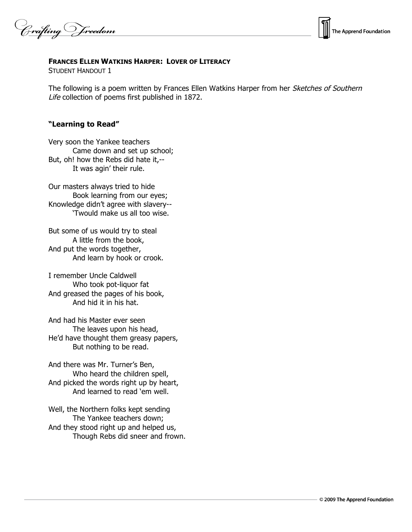Crafting Vreedom



## **FRANCES ELLEN WATKINS HARPER: LOVER OF LITERACY**

STUDENT HANDOUT 1

The following is a poem written by Frances Ellen Watkins Harper from her Sketches of Southern Life collection of poems first published in 1872.

## **"Learning to Read"**

Very soon the Yankee teachers Came down and set up school; But, oh! how the Rebs did hate it,-- It was agin' their rule.

Our masters always tried to hide Book learning from our eyes; Knowledge didn't agree with slavery-- 'Twould make us all too wise.

But some of us would try to steal A little from the book, And put the words together, And learn by hook or crook.

I remember Uncle Caldwell Who took pot-liquor fat And greased the pages of his book, And hid it in his hat.

And had his Master ever seen The leaves upon his head, He'd have thought them greasy papers, But nothing to be read.

And there was Mr. Turner's Ben, Who heard the children spell, And picked the words right up by heart, And learned to read 'em well.

Well, the Northern folks kept sending The Yankee teachers down; And they stood right up and helped us, Though Rebs did sneer and frown.